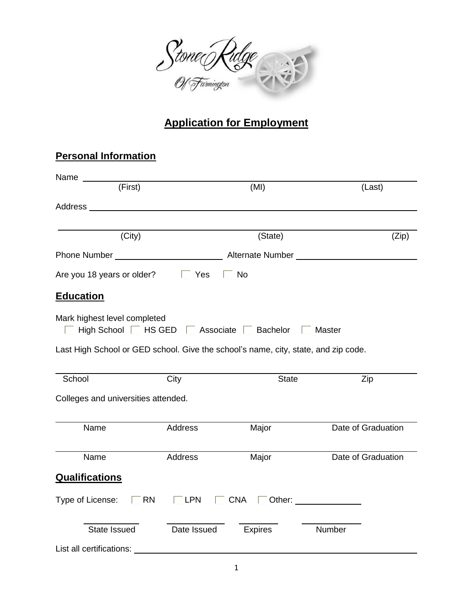

## **Application for Employment**

## **Personal Information**

| Name                                |                                                            |                                                                                    |                                                                                                                |
|-------------------------------------|------------------------------------------------------------|------------------------------------------------------------------------------------|----------------------------------------------------------------------------------------------------------------|
| (First)                             |                                                            | (MI)                                                                               | (Last)                                                                                                         |
|                                     |                                                            |                                                                                    |                                                                                                                |
| (City)                              |                                                            | (State)                                                                            | (Zip)                                                                                                          |
|                                     |                                                            |                                                                                    |                                                                                                                |
| Are you 18 years or older?          | $\Gamma$ Yes                                               | $\Box$ No                                                                          |                                                                                                                |
| <b>Education</b>                    |                                                            |                                                                                    |                                                                                                                |
| Mark highest level completed        | High School $\Box$ HS GED $\Box$ Associate $\Box$ Bachelor |                                                                                    | <b>Master</b>                                                                                                  |
|                                     |                                                            | Last High School or GED school. Give the school's name, city, state, and zip code. |                                                                                                                |
| School                              | City                                                       | <b>State</b>                                                                       | Zip                                                                                                            |
| Colleges and universities attended. |                                                            |                                                                                    |                                                                                                                |
| Name                                | <b>Address</b>                                             | Major                                                                              | Date of Graduation                                                                                             |
| Name                                | Address                                                    | Major                                                                              | Date of Graduation                                                                                             |
| <b>Qualifications</b>               |                                                            |                                                                                    |                                                                                                                |
| Type of License:                    | <b>RN</b><br>$\Box$ LPN                                    | $\Box$ CNA                                                                         | Other: and the contract of the contract of the contract of the contract of the contract of the contract of the |
| State Issued                        | Date Issued                                                | <b>Expires</b>                                                                     | Number                                                                                                         |
| List all certifications:            |                                                            |                                                                                    |                                                                                                                |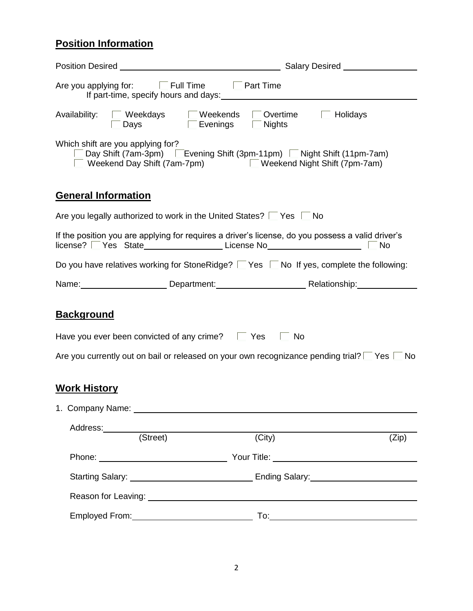## **Position Information**

|                            | Are you applying for: Full Time Full Time                                                                                                                                                                                            |                      | If part-time, specify hours and days: Manual Assembly and the set of the set of the set of the set of the set of the set of the set of the set of the set of the set of the set of the set of the set of the set of the set of |                                                                                                                                                                                                                                |  |
|----------------------------|--------------------------------------------------------------------------------------------------------------------------------------------------------------------------------------------------------------------------------------|----------------------|--------------------------------------------------------------------------------------------------------------------------------------------------------------------------------------------------------------------------------|--------------------------------------------------------------------------------------------------------------------------------------------------------------------------------------------------------------------------------|--|
|                            |                                                                                                                                                                                                                                      | Days Evenings Nights | Availability: Weekdays Meekends Overtime Holidays                                                                                                                                                                              |                                                                                                                                                                                                                                |  |
|                            | Which shift are you applying for?                                                                                                                                                                                                    |                      | Day Shift (7am-3pm) Evening Shift (3pm-11pm) Night Shift (11pm-7am)<br>Weekend Day Shift (7am-7pm) Weekend Night Shift (7pm-7am)                                                                                               |                                                                                                                                                                                                                                |  |
| <b>General Information</b> |                                                                                                                                                                                                                                      |                      |                                                                                                                                                                                                                                |                                                                                                                                                                                                                                |  |
|                            |                                                                                                                                                                                                                                      |                      | Are you legally authorized to work in the United States?   Yes   No                                                                                                                                                            |                                                                                                                                                                                                                                |  |
|                            |                                                                                                                                                                                                                                      |                      | license?   Yes State_________________License No_________________________________                                                                                                                                               | If the position you are applying for requires a driver's license, do you possess a valid driver's<br>No                                                                                                                        |  |
|                            |                                                                                                                                                                                                                                      |                      |                                                                                                                                                                                                                                | Do you have relatives working for StoneRidge? $\Box$ Yes $\Box$ No If yes, complete the following:                                                                                                                             |  |
|                            |                                                                                                                                                                                                                                      |                      |                                                                                                                                                                                                                                | Name: Name: Name: Name: Name: Name: Name: Nelationship: Name: Nelationship: Name: Name: Name: Name: Name: Name: Name: Name: Name: Name: Name: Name: Name: Name: Name: Name: Name: Name: Name: Name: Name: Name: Name: Name: Na |  |
| <b>Background</b>          |                                                                                                                                                                                                                                      |                      |                                                                                                                                                                                                                                |                                                                                                                                                                                                                                |  |
|                            | Have you ever been convicted of any crime? $\Box$ Yes $\Box$ No                                                                                                                                                                      |                      |                                                                                                                                                                                                                                |                                                                                                                                                                                                                                |  |
|                            |                                                                                                                                                                                                                                      |                      |                                                                                                                                                                                                                                | Are you currently out on bail or released on your own recognizance pending trial? $\Box$ Yes $\Box$ No                                                                                                                         |  |
| <b>Work History</b>        |                                                                                                                                                                                                                                      |                      |                                                                                                                                                                                                                                |                                                                                                                                                                                                                                |  |
|                            | 1. Company Name: 1. 2008 2014 2022 2023 2024 2022 2022 2023 2024 2022 2023 2024 2022 2023 2024 2022 2023 2024 2022 2023 2024 2022 2023 2024 2022 2023 2024 2022 2023 2024 2022 2023 2024 2022 2023 2024 2022 2023 2024 2022 20       |                      |                                                                                                                                                                                                                                |                                                                                                                                                                                                                                |  |
|                            | Address: (Street)                                                                                                                                                                                                                    |                      | $\overline{(City)}$                                                                                                                                                                                                            | (Zip)                                                                                                                                                                                                                          |  |
|                            |                                                                                                                                                                                                                                      |                      |                                                                                                                                                                                                                                | Phone: Nour Title: Nour Title: Nour Title: Nour Title: Nour Title: Nour Metal and November 2014                                                                                                                                |  |
|                            | Starting Salary: <u>New York: Ending Salary: New York: New York: New York: New York: New York: New York: New York: New York: New York: New York: New York: New York: New York: New York: New York: New York: New York: New York:</u> |                      |                                                                                                                                                                                                                                |                                                                                                                                                                                                                                |  |
|                            |                                                                                                                                                                                                                                      |                      |                                                                                                                                                                                                                                |                                                                                                                                                                                                                                |  |
|                            |                                                                                                                                                                                                                                      |                      |                                                                                                                                                                                                                                |                                                                                                                                                                                                                                |  |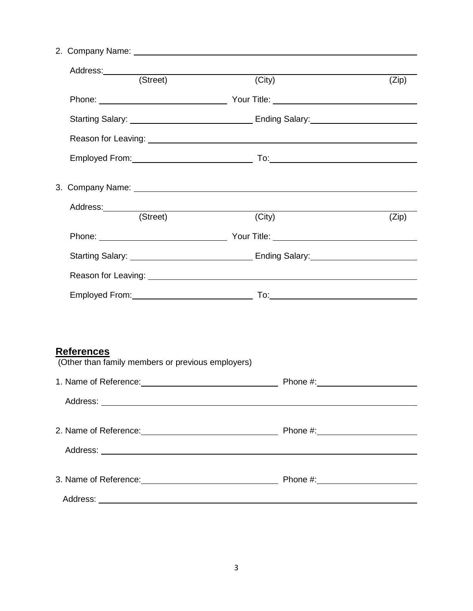2. Company Name:

| Address: (Street)                                                      | (City)                                                                                                                                                                                                                         | (Zip) |
|------------------------------------------------------------------------|--------------------------------------------------------------------------------------------------------------------------------------------------------------------------------------------------------------------------------|-------|
|                                                                        | Phone: Nour Title: Nour Title: Nour Title: Nour Title: Nour Title: Nour Metal and Solid Phone: Nour Metal and Solid Phone: Nour Metal and Solid Phone: Nour Metal and Solid Phone: Nour Metal and Solid Phone: Nour Metal Andr |       |
|                                                                        |                                                                                                                                                                                                                                |       |
|                                                                        |                                                                                                                                                                                                                                |       |
|                                                                        |                                                                                                                                                                                                                                |       |
|                                                                        |                                                                                                                                                                                                                                |       |
|                                                                        |                                                                                                                                                                                                                                |       |
| Address: (Street)                                                      | (City)                                                                                                                                                                                                                         |       |
|                                                                        |                                                                                                                                                                                                                                | (Zip) |
|                                                                        |                                                                                                                                                                                                                                |       |
|                                                                        |                                                                                                                                                                                                                                |       |
|                                                                        |                                                                                                                                                                                                                                |       |
|                                                                        |                                                                                                                                                                                                                                |       |
|                                                                        |                                                                                                                                                                                                                                |       |
| <b>References</b><br>(Other than family members or previous employers) |                                                                                                                                                                                                                                |       |
|                                                                        |                                                                                                                                                                                                                                |       |
|                                                                        |                                                                                                                                                                                                                                |       |
|                                                                        | 2. Name of Reference: <u>contract the contract of Phone #:</u> Phone #:                                                                                                                                                        |       |
|                                                                        |                                                                                                                                                                                                                                |       |
|                                                                        | 3. Name of Reference: <u>contract the contract of Phone #:</u> Phone #:                                                                                                                                                        |       |
|                                                                        |                                                                                                                                                                                                                                |       |